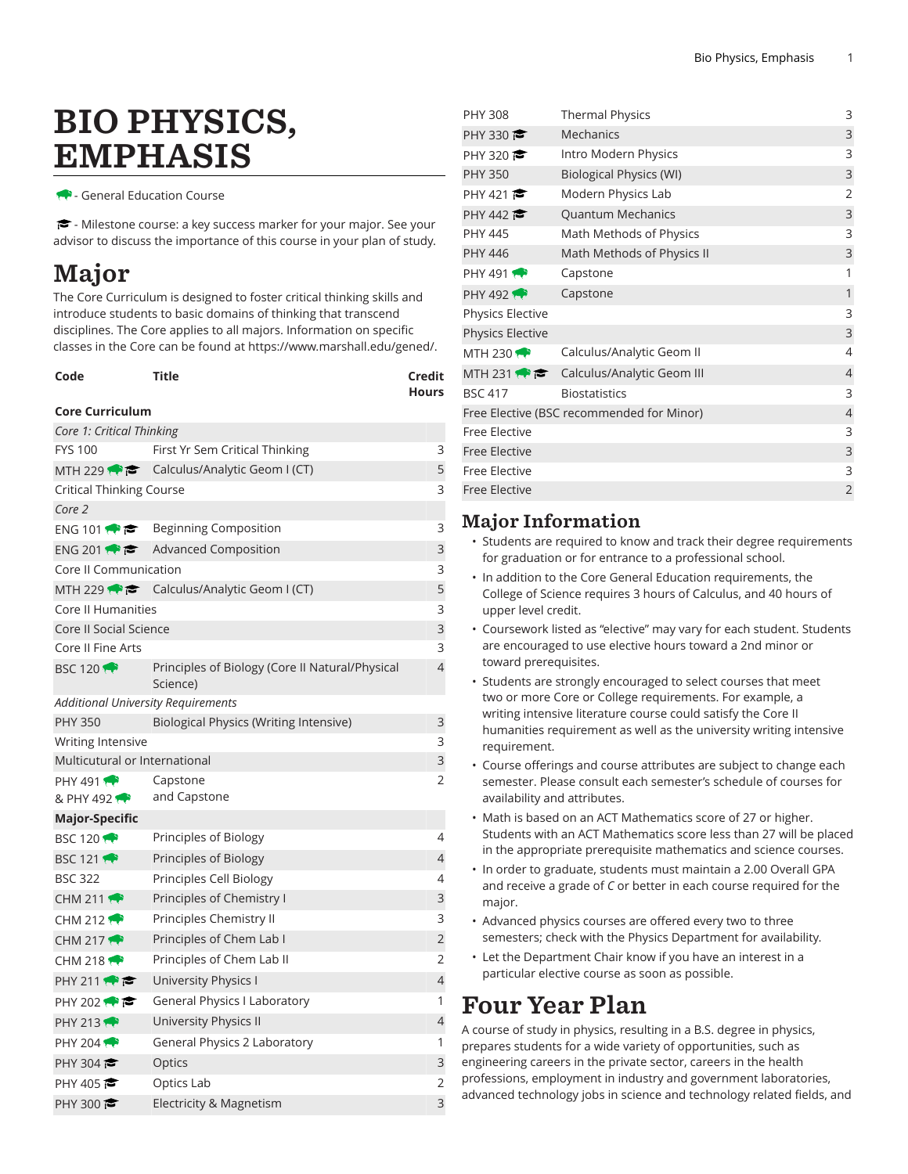# BIO PHYSICS, EMPHASIS

- General Education Course

- Milestone course: a key success marker for your major. See your advisor to discuss the importance of this course in your plan of study.

## Major

The Core Curriculum is designed to foster critical thinking skills and introduce students to basic domains of thinking that transcend disciplines. The Core applies to all majors. Information on specific classes in the Core can be found at [https://www.marshall.edu/gened/.](https://www.marshall.edu/gened/)

| Code | Title | Credit       |
|------|-------|--------------|
|      |       | <b>Hours</b> |

#### **Core Curriculum**

| Core 1: Critical Thinking                 |                                                             |                |  |  |
|-------------------------------------------|-------------------------------------------------------------|----------------|--|--|
| <b>FYS 100</b>                            | First Yr Sem Critical Thinking<br>3                         |                |  |  |
| MTH 229 $\rightarrow$ $\rightarrow$       | Calculus/Analytic Geom I (CT)                               |                |  |  |
| <b>Critical Thinking Course</b>           |                                                             | 3              |  |  |
| Core 2                                    |                                                             |                |  |  |
| ENG 101                                   | Beginning Composition                                       | 3              |  |  |
| ENG 201                                   | <b>Advanced Composition</b>                                 | 3              |  |  |
| Core II Communication                     |                                                             | 3              |  |  |
|                                           | MTH 229 $\bullet$ $\bullet$ Calculus/Analytic Geom I (CT)   | 5              |  |  |
| Core II Humanities                        |                                                             | 3              |  |  |
| <b>Core II Social Science</b>             |                                                             | 3              |  |  |
| Core II Fine Arts                         |                                                             | 3              |  |  |
| <b>BSC 120 1</b>                          | Principles of Biology (Core II Natural/Physical<br>Science) | 4              |  |  |
| <b>Additional University Requirements</b> |                                                             |                |  |  |
| <b>PHY 350</b>                            | Biological Physics (Writing Intensive)                      | 3              |  |  |
| Writing Intensive                         |                                                             | 3              |  |  |
| Multicutural or International             |                                                             | 3              |  |  |
| PHY 491 $\bullet$                         | Capstone                                                    | 2              |  |  |
| & PHY 492                                 | and Capstone                                                |                |  |  |
| Major-Specific                            |                                                             |                |  |  |
| <b>BSC 120 1</b>                          | Principles of Biology                                       | 4              |  |  |
| <b>BSC 121</b>                            | Principles of Biology                                       | 4              |  |  |
| <b>BSC 322</b>                            | Principles Cell Biology                                     | 4              |  |  |
| CHM 211 $\rightarrow$                     | Principles of Chemistry I                                   | 3              |  |  |
| CHM 212 $\rightarrow$                     | Principles Chemistry II                                     | 3              |  |  |
| CHM 217 $\rightarrow$                     | Principles of Chem Lab I                                    | 2              |  |  |
| CHM 218 $\leftrightarrow$                 | Principles of Chem Lab II                                   | $\overline{2}$ |  |  |
| PHY 211                                   | University Physics I                                        | 4              |  |  |
| PHY 202 $\bullet$                         | General Physics I Laboratory                                | 1              |  |  |
| <b>PHY 213</b>                            |                                                             |                |  |  |
|                                           | University Physics II                                       | 4              |  |  |
| PHY 204 $\rightarrow$                     | <b>General Physics 2 Laboratory</b>                         | 1              |  |  |
| PHY 304 $\approx$                         | Optics                                                      | 3              |  |  |
| PHY 405                                   | Optics Lab                                                  | 2              |  |  |
| PHY 300 $\approx$                         | Electricity & Magnetism                                     | 3              |  |  |

| <b>PHY 308</b>          | <b>Thermal Physics</b>                    | 3              |
|-------------------------|-------------------------------------------|----------------|
| PHY 330                 | <b>Mechanics</b>                          | 3              |
| PHY 320                 | Intro Modern Physics                      | 3              |
| <b>PHY 350</b>          | <b>Biological Physics (WI)</b>            | 3              |
| PHY 421                 | Modern Physics Lab                        | $\overline{2}$ |
| PHY 442                 | <b>Quantum Mechanics</b>                  | 3              |
| <b>PHY 445</b>          | Math Methods of Physics                   | 3              |
| <b>PHY 446</b>          | Math Methods of Physics II                | 3              |
| PHY 491 $\bullet$       | Capstone                                  | 1              |
| <b>PHY 492</b>          | Capstone                                  | 1              |
| <b>Physics Elective</b> |                                           | 3              |
| <b>Physics Elective</b> |                                           | 3              |
| MTH 230 $\rightarrow$   | Calculus/Analytic Geom II                 | 4              |
| MTH 231                 | Calculus/Analytic Geom III                | 4              |
| <b>BSC 417</b>          | <b>Biostatistics</b>                      | 3              |
|                         | Free Elective (BSC recommended for Minor) | $\overline{4}$ |
| <b>Free Elective</b>    |                                           | 3              |
| <b>Free Elective</b>    |                                           | $\mathsf 3$    |
| <b>Free Elective</b>    |                                           | 3              |
| <b>Free Elective</b>    |                                           | $\overline{2}$ |

#### Major Information

- Students are required to know and track their degree requirements for graduation or for entrance to a professional school.
- In addition to the Core General Education requirements, the College of Science requires 3 hours of Calculus, and 40 hours of upper level credit.
- Coursework listed as "elective" may vary for each student. Students are encouraged to use elective hours toward a 2nd minor or toward prerequisites.
- Students are strongly encouraged to select courses that meet two or more Core or College requirements. For example, a writing intensive literature course could satisfy the Core II humanities requirement as well as the university writing intensive requirement.
- Course offerings and course attributes are subject to change each semester. Please consult each semester's schedule of courses for availability and attributes.
- Math is based on an ACT Mathematics score of 27 or higher. Students with an ACT Mathematics score less than 27 will be placed in the appropriate prerequisite mathematics and science courses.
- In order to graduate, students must maintain a 2.00 Overall GPA and receive a grade of *C* or better in each course required for the major.
- Advanced physics courses are offered every two to three semesters; check with the Physics Department for availability.
- Let the Department Chair know if you have an interest in a particular elective course as soon as possible.

### Four Year Plan

A course of study in physics, resulting in a B.S. degree in physics, prepares students for a wide variety of opportunities, such as engineering careers in the private sector, careers in the health professions, employment in industry and government laboratories, advanced technology jobs in science and technology related fields, and